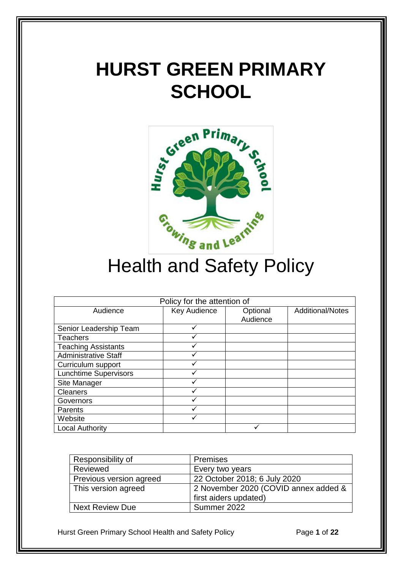# **HURST GREEN PRIMARY SCHOOL**



# Health and Safety Policy

| Policy for the attention of  |              |          |                         |  |
|------------------------------|--------------|----------|-------------------------|--|
| Audience                     | Key Audience | Optional | <b>Additional/Notes</b> |  |
|                              |              | Audience |                         |  |
| Senior Leadership Team       |              |          |                         |  |
| <b>Teachers</b>              |              |          |                         |  |
| <b>Teaching Assistants</b>   |              |          |                         |  |
| <b>Administrative Staff</b>  |              |          |                         |  |
| Curriculum support           |              |          |                         |  |
| <b>Lunchtime Supervisors</b> |              |          |                         |  |
| Site Manager                 |              |          |                         |  |
| <b>Cleaners</b>              |              |          |                         |  |
| Governors                    |              |          |                         |  |
| Parents                      |              |          |                         |  |
| Website                      |              |          |                         |  |
| <b>Local Authority</b>       |              |          |                         |  |

| Responsibility of       | <b>Premises</b>                      |
|-------------------------|--------------------------------------|
| Reviewed                | Every two years                      |
| Previous version agreed | 22 October 2018; 6 July 2020         |
| This version agreed     | 2 November 2020 (COVID annex added & |
|                         | first aiders updated)                |
| Next Review Due         | Summer 2022                          |

Hurst Green Primary School Health and Safety Policy **Page 1** of 22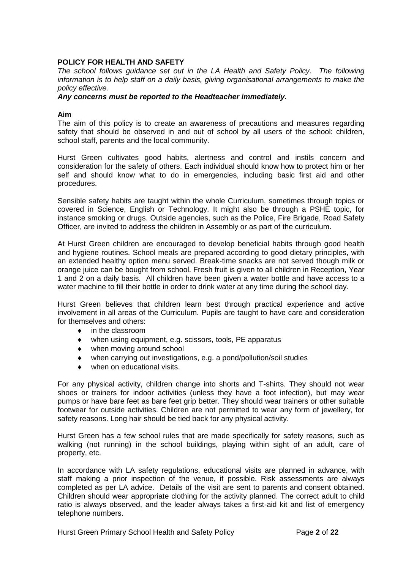# **POLICY FOR HEALTH AND SAFETY**

*The school follows guidance set out in the LA Health and Safety Policy. The following information is to help staff on a daily basis, giving organisational arrangements to make the policy effective.*

#### *Any concerns must be reported to the Headteacher immediately.*

#### **Aim**

The aim of this policy is to create an awareness of precautions and measures regarding safety that should be observed in and out of school by all users of the school: children, school staff, parents and the local community.

Hurst Green cultivates good habits, alertness and control and instils concern and consideration for the safety of others. Each individual should know how to protect him or her self and should know what to do in emergencies, including basic first aid and other procedures.

Sensible safety habits are taught within the whole Curriculum, sometimes through topics or covered in Science, English or Technology. It might also be through a PSHE topic, for instance smoking or drugs. Outside agencies, such as the Police, Fire Brigade, Road Safety Officer, are invited to address the children in Assembly or as part of the curriculum.

At Hurst Green children are encouraged to develop beneficial habits through good health and hygiene routines. School meals are prepared according to good dietary principles, with an extended healthy option menu served. Break-time snacks are not served though milk or orange juice can be bought from school. Fresh fruit is given to all children in Reception, Year 1 and 2 on a daily basis. All children have been given a water bottle and have access to a water machine to fill their bottle in order to drink water at any time during the school day.

Hurst Green believes that children learn best through practical experience and active involvement in all areas of the Curriculum. Pupils are taught to have care and consideration for themselves and others:

- in the classroom
- when using equipment, e.g. scissors, tools, PE apparatus
- when moving around school
- when carrying out investigations, e.g. a pond/pollution/soil studies
- when on educational visits.

For any physical activity, children change into shorts and T-shirts. They should not wear shoes or trainers for indoor activities (unless they have a foot infection), but may wear pumps or have bare feet as bare feet grip better. They should wear trainers or other suitable footwear for outside activities. Children are not permitted to wear any form of jewellery, for safety reasons. Long hair should be tied back for any physical activity.

Hurst Green has a few school rules that are made specifically for safety reasons, such as walking (not running) in the school buildings, playing within sight of an adult, care of property, etc.

In accordance with LA safety regulations, educational visits are planned in advance, with staff making a prior inspection of the venue, if possible. Risk assessments are always completed as per LA advice. Details of the visit are sent to parents and consent obtained. Children should wear appropriate clothing for the activity planned. The correct adult to child ratio is always observed, and the leader always takes a first-aid kit and list of emergency telephone numbers.

Hurst Green Primary School Health and Safety Policy **Page 2 of 22**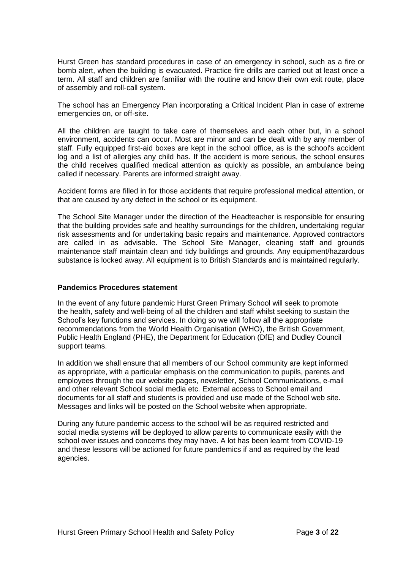Hurst Green has standard procedures in case of an emergency in school, such as a fire or bomb alert, when the building is evacuated. Practice fire drills are carried out at least once a term. All staff and children are familiar with the routine and know their own exit route, place of assembly and roll-call system.

The school has an Emergency Plan incorporating a Critical Incident Plan in case of extreme emergencies on, or off-site.

All the children are taught to take care of themselves and each other but, in a school environment, accidents can occur. Most are minor and can be dealt with by any member of staff. Fully equipped first-aid boxes are kept in the school office, as is the school's accident log and a list of allergies any child has. If the accident is more serious, the school ensures the child receives qualified medical attention as quickly as possible, an ambulance being called if necessary. Parents are informed straight away.

Accident forms are filled in for those accidents that require professional medical attention, or that are caused by any defect in the school or its equipment.

The School Site Manager under the direction of the Headteacher is responsible for ensuring that the building provides safe and healthy surroundings for the children, undertaking regular risk assessments and for undertaking basic repairs and maintenance. Approved contractors are called in as advisable. The School Site Manager, cleaning staff and grounds maintenance staff maintain clean and tidy buildings and grounds. Any equipment/hazardous substance is locked away. All equipment is to British Standards and is maintained regularly.

# **Pandemics Procedures statement**

In the event of any future pandemic Hurst Green Primary School will seek to promote the health, safety and well-being of all the children and staff whilst seeking to sustain the School's key functions and services. In doing so we will follow all the appropriate recommendations from the World Health Organisation (WHO), the British Government, Public Health England (PHE), the Department for Education (DfE) and Dudley Council support teams.

In addition we shall ensure that all members of our School community are kept informed as appropriate, with a particular emphasis on the communication to pupils, parents and employees through the our website pages, newsletter, School Communications, e-mail and other relevant School social media etc. External access to School email and documents for all staff and students is provided and use made of the School web site. Messages and links will be posted on the School website when appropriate.

During any future pandemic access to the school will be as required restricted and social media systems will be deployed to allow parents to communicate easily with the school over issues and concerns they may have. A lot has been learnt from COVID-19 and these lessons will be actioned for future pandemics if and as required by the lead agencies.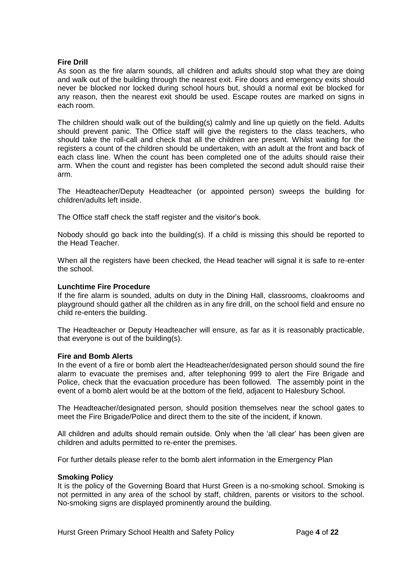# **Fire Drill**

As soon as the fire alarm sounds, all children and adults should stop what they are doing and walk out of the building through the nearest exit. Fire doors and emergency exits should never be blocked nor locked during school hours but, should a normal exit be blocked for any reason, then the nearest exit should be used. Escape routes are marked on signs in each room.

The children should walk out of the building(s) calmly and line up quietly on the field. Adults should prevent panic. The Office staff will give the registers to the class teachers, who should take the roll-call and check that all the children are present. Whilst waiting for the registers a count of the children should be undertaken, with an adult at the front and back of each class line. When the count has been completed one of the adults should raise their arm. When the count and register has been completed the second adult should raise their arm.

The Headteacher/Deputy Headteacher (or appointed person) sweeps the building for children/adults left inside.

The Office staff check the staff register and the visitor's book.

Nobody should go back into the building(s). If a child is missing this should be reported to the Head Teacher.

When all the registers have been checked, the Head teacher will signal it is safe to re-enter the school.

#### **Lunchtime Fire Procedure**

If the fire alarm is sounded, adults on duty in the Dining Hall, classrooms, cloakrooms and playground should gather all the children as in any fire drill, on the school field and ensure no child re-enters the building.

The Headteacher or Deputy Headteacher will ensure, as far as it is reasonably practicable, that everyone is out of the building(s).

#### **Fire and Bomb Alerts**

In the event of a fire or bomb alert the Headteacher/designated person should sound the fire alarm to evacuate the premises and, after telephoning 999 to alert the Fire Brigade and Police, check that the evacuation procedure has been followed. The assembly point in the event of a bomb alert would be at the bottom of the field, adjacent to Halesbury School.

The Headteacher/designated person, should position themselves near the school gates to meet the Fire Brigade/Police and direct them to the site of the incident, if known.

All children and adults should remain outside. Only when the 'all clear' has been given are children and adults permitted to re-enter the premises.

For further details please refer to the bomb alert information in the Emergency Plan

#### **Smoking Policy**

It is the policy of the Governing Board that Hurst Green is a no-smoking school. Smoking is not permitted in any area of the school by staff, children, parents or visitors to the school. No-smoking signs are displayed prominently around the building.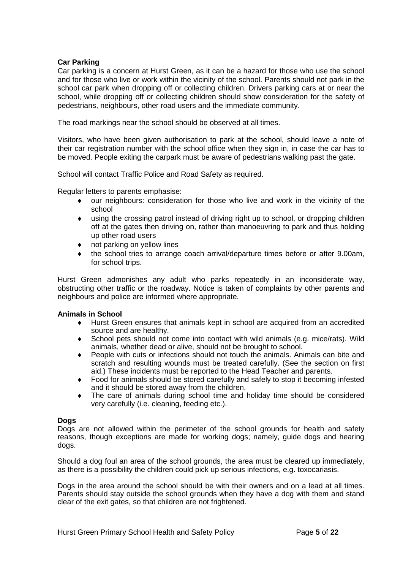# **Car Parking**

Car parking is a concern at Hurst Green, as it can be a hazard for those who use the school and for those who live or work within the vicinity of the school. Parents should not park in the school car park when dropping off or collecting children. Drivers parking cars at or near the school, while dropping off or collecting children should show consideration for the safety of pedestrians, neighbours, other road users and the immediate community.

The road markings near the school should be observed at all times.

Visitors, who have been given authorisation to park at the school, should leave a note of their car registration number with the school office when they sign in, in case the car has to be moved. People exiting the carpark must be aware of pedestrians walking past the gate.

School will contact Traffic Police and Road Safety as required.

Regular letters to parents emphasise:

- our neighbours: consideration for those who live and work in the vicinity of the school
- using the crossing patrol instead of driving right up to school, or dropping children off at the gates then driving on, rather than manoeuvring to park and thus holding up other road users
- not parking on yellow lines
- the school tries to arrange coach arrival/departure times before or after 9.00am, for school trips.

Hurst Green admonishes any adult who parks repeatedly in an inconsiderate way, obstructing other traffic or the roadway. Notice is taken of complaints by other parents and neighbours and police are informed where appropriate.

# **Animals in School**

- Hurst Green ensures that animals kept in school are acquired from an accredited source and are healthy.
- School pets should not come into contact with wild animals (e.g. mice/rats). Wild animals, whether dead or alive, should not be brought to school.
- People with cuts or infections should not touch the animals. Animals can bite and scratch and resulting wounds must be treated carefully. (See the section on first aid.) These incidents must be reported to the Head Teacher and parents.
- Food for animals should be stored carefully and safely to stop it becoming infested and it should be stored away from the children.
- The care of animals during school time and holiday time should be considered very carefully (i.e. cleaning, feeding etc.).

#### **Dogs**

Dogs are not allowed within the perimeter of the school grounds for health and safety reasons, though exceptions are made for working dogs; namely, guide dogs and hearing dogs.

Should a dog foul an area of the school grounds, the area must be cleared up immediately, as there is a possibility the children could pick up serious infections, e.g. toxocariasis.

Dogs in the area around the school should be with their owners and on a lead at all times. Parents should stay outside the school grounds when they have a dog with them and stand clear of the exit gates, so that children are not frightened.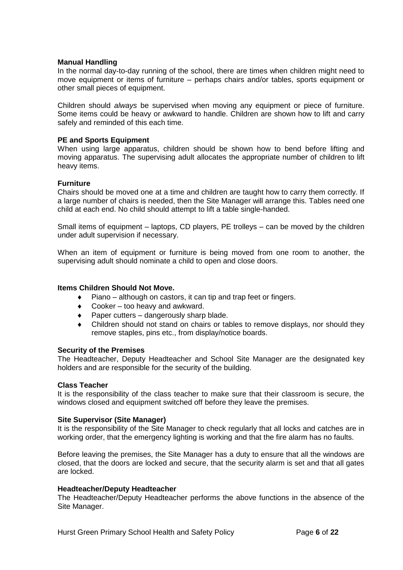#### **Manual Handling**

In the normal day-to-day running of the school, there are times when children might need to move equipment or items of furniture – perhaps chairs and/or tables, sports equipment or other small pieces of equipment.

Children should *always* be supervised when moving any equipment or piece of furniture. Some items could be heavy or awkward to handle. Children are shown how to lift and carry safely and reminded of this each time.

#### **PE and Sports Equipment**

When using large apparatus, children should be shown how to bend before lifting and moving apparatus. The supervising adult allocates the appropriate number of children to lift heavy items.

# **Furniture**

Chairs should be moved one at a time and children are taught how to carry them correctly. If a large number of chairs is needed, then the Site Manager will arrange this. Tables need one child at each end. No child should attempt to lift a table single-handed.

Small items of equipment – laptops, CD players, PE trolleys – can be moved by the children under adult supervision if necessary.

When an item of equipment or furniture is being moved from one room to another, the supervising adult should nominate a child to open and close doors.

#### **Items Children Should Not Move.**

- $\bullet$  Piano although on castors, it can tip and trap feet or fingers.
- $\bullet$  Cooker too heavy and awkward.
- Paper cutters dangerously sharp blade.
- Children should not stand on chairs or tables to remove displays, nor should they remove staples, pins etc., from display/notice boards.

#### **Security of the Premises**

The Headteacher, Deputy Headteacher and School Site Manager are the designated key holders and are responsible for the security of the building.

#### **Class Teacher**

It is the responsibility of the class teacher to make sure that their classroom is secure, the windows closed and equipment switched off before they leave the premises.

#### **Site Supervisor (Site Manager)**

It is the responsibility of the Site Manager to check regularly that all locks and catches are in working order, that the emergency lighting is working and that the fire alarm has no faults.

Before leaving the premises, the Site Manager has a duty to ensure that all the windows are closed, that the doors are locked and secure, that the security alarm is set and that all gates are locked.

#### **Headteacher/Deputy Headteacher**

The Headteacher/Deputy Headteacher performs the above functions in the absence of the Site Manager.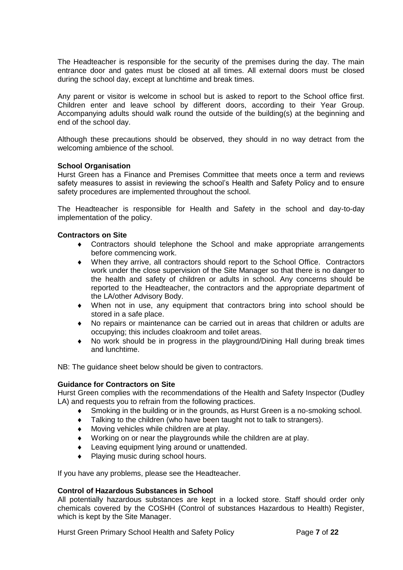The Headteacher is responsible for the security of the premises during the day. The main entrance door and gates must be closed at all times. All external doors must be closed during the school day, except at lunchtime and break times.

Any parent or visitor is welcome in school but is asked to report to the School office first. Children enter and leave school by different doors, according to their Year Group. Accompanying adults should walk round the outside of the building(s) at the beginning and end of the school day.

Although these precautions should be observed, they should in no way detract from the welcoming ambience of the school.

# **School Organisation**

Hurst Green has a Finance and Premises Committee that meets once a term and reviews safety measures to assist in reviewing the school's Health and Safety Policy and to ensure safety procedures are implemented throughout the school.

The Headteacher is responsible for Health and Safety in the school and day-to-day implementation of the policy.

#### **Contractors on Site**

- Contractors should telephone the School and make appropriate arrangements before commencing work.
- When they arrive, all contractors should report to the School Office. Contractors work under the close supervision of the Site Manager so that there is no danger to the health and safety of children or adults in school. Any concerns should be reported to the Headteacher, the contractors and the appropriate department of the LA/other Advisory Body.
- When not in use, any equipment that contractors bring into school should be stored in a safe place.
- No repairs or maintenance can be carried out in areas that children or adults are occupying; this includes cloakroom and toilet areas.
- No work should be in progress in the playground/Dining Hall during break times and lunchtime.

NB: The guidance sheet below should be given to contractors.

# **Guidance for Contractors on Site**

Hurst Green complies with the recommendations of the Health and Safety Inspector (Dudley LA) and requests you to refrain from the following practices.

- Smoking in the building or in the grounds, as Hurst Green is a no-smoking school.
- Talking to the children (who have been taught not to talk to strangers).
- Moving vehicles while children are at play.
- Working on or near the playgrounds while the children are at play.
- Leaving equipment lying around or unattended.
- Playing music during school hours.

If you have any problems, please see the Headteacher.

#### **Control of Hazardous Substances in School**

All potentially hazardous substances are kept in a locked store. Staff should order only chemicals covered by the COSHH (Control of substances Hazardous to Health) Register, which is kept by the Site Manager.

Hurst Green Primary School Health and Safety Policy **Page 7** of 22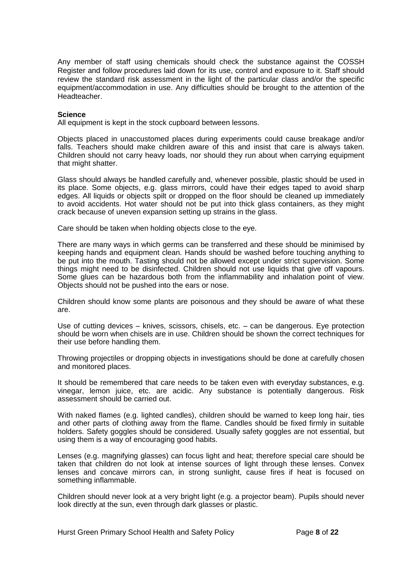Any member of staff using chemicals should check the substance against the COSSH Register and follow procedures laid down for its use, control and exposure to it. Staff should review the standard risk assessment in the light of the particular class and/or the specific equipment/accommodation in use. Any difficulties should be brought to the attention of the Headteacher.

#### **Science**

All equipment is kept in the stock cupboard between lessons.

Objects placed in unaccustomed places during experiments could cause breakage and/or falls. Teachers should make children aware of this and insist that care is always taken. Children should not carry heavy loads, nor should they run about when carrying equipment that might shatter.

Glass should always be handled carefully and, whenever possible, plastic should be used in its place. Some objects, e.g. glass mirrors, could have their edges taped to avoid sharp edges. All liquids or objects spilt or dropped on the floor should be cleaned up immediately to avoid accidents. Hot water should not be put into thick glass containers, as they might crack because of uneven expansion setting up strains in the glass.

Care should be taken when holding objects close to the eye.

There are many ways in which germs can be transferred and these should be minimised by keeping hands and equipment clean. Hands should be washed before touching anything to be put into the mouth. Tasting should not be allowed except under strict supervision. Some things might need to be disinfected. Children should not use liquids that give off vapours. Some glues can be hazardous both from the inflammability and inhalation point of view. Objects should not be pushed into the ears or nose.

Children should know some plants are poisonous and they should be aware of what these are.

Use of cutting devices – knives, scissors, chisels, etc. – can be dangerous. Eye protection should be worn when chisels are in use. Children should be shown the correct techniques for their use before handling them.

Throwing projectiles or dropping objects in investigations should be done at carefully chosen and monitored places.

It should be remembered that care needs to be taken even with everyday substances, e.g. vinegar, lemon juice, etc. are acidic. Any substance is potentially dangerous. Risk assessment should be carried out.

With naked flames (e.g. lighted candles), children should be warned to keep long hair, ties and other parts of clothing away from the flame. Candles should be fixed firmly in suitable holders. Safety goggles should be considered. Usually safety goggles are not essential, but using them is a way of encouraging good habits.

Lenses (e.g. magnifying glasses) can focus light and heat; therefore special care should be taken that children do not look at intense sources of light through these lenses. Convex lenses and concave mirrors can, in strong sunlight, cause fires if heat is focused on something inflammable.

Children should never look at a very bright light (e.g. a projector beam). Pupils should never look directly at the sun, even through dark glasses or plastic.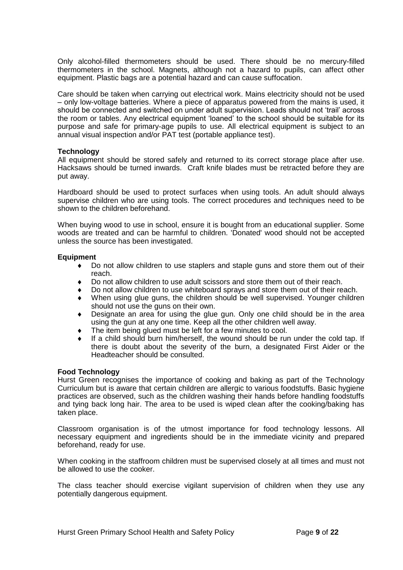Only alcohol-filled thermometers should be used. There should be no mercury-filled thermometers in the school. Magnets, although not a hazard to pupils, can affect other equipment. Plastic bags are a potential hazard and can cause suffocation.

Care should be taken when carrying out electrical work. Mains electricity should not be used – only low-voltage batteries. Where a piece of apparatus powered from the mains is used, it should be connected and switched on under adult supervision. Leads should not 'trail' across the room or tables. Any electrical equipment 'loaned' to the school should be suitable for its purpose and safe for primary-age pupils to use. All electrical equipment is subject to an annual visual inspection and/or PAT test (portable appliance test).

# **Technology**

All equipment should be stored safely and returned to its correct storage place after use. Hacksaws should be turned inwards. Craft knife blades must be retracted before they are put away.

Hardboard should be used to protect surfaces when using tools. An adult should always supervise children who are using tools. The correct procedures and techniques need to be shown to the children beforehand.

When buying wood to use in school, ensure it is bought from an educational supplier. Some woods are treated and can be harmful to children. 'Donated' wood should not be accepted unless the source has been investigated.

# **Equipment**

- Do not allow children to use staplers and staple guns and store them out of their reach.
- Do not allow children to use adult scissors and store them out of their reach.
- Do not allow children to use whiteboard sprays and store them out of their reach.
- When using glue guns, the children should be well supervised. Younger children should not use the guns on their own.
- Designate an area for using the glue gun. Only one child should be in the area using the gun at any one time. Keep all the other children well away.
- The item being glued must be left for a few minutes to cool.
- If a child should burn him/herself, the wound should be run under the cold tap. If there is doubt about the severity of the burn, a designated First Aider or the Headteacher should be consulted.

#### **Food Technology**

Hurst Green recognises the importance of cooking and baking as part of the Technology Curriculum but is aware that certain children are allergic to various foodstuffs. Basic hygiene practices are observed, such as the children washing their hands before handling foodstuffs and tying back long hair. The area to be used is wiped clean after the cooking/baking has taken place.

Classroom organisation is of the utmost importance for food technology lessons. All necessary equipment and ingredients should be in the immediate vicinity and prepared beforehand, ready for use.

When cooking in the staffroom children must be supervised closely at all times and must not be allowed to use the cooker.

The class teacher should exercise vigilant supervision of children when they use any potentially dangerous equipment.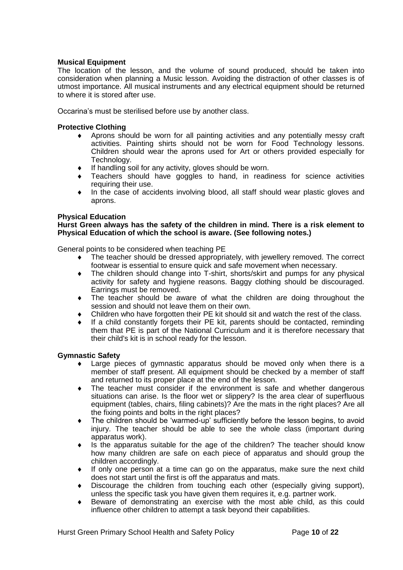# **Musical Equipment**

The location of the lesson, and the volume of sound produced, should be taken into consideration when planning a Music lesson. Avoiding the distraction of other classes is of utmost importance. All musical instruments and any electrical equipment should be returned to where it is stored after use.

Occarina's must be sterilised before use by another class.

# **Protective Clothing**

- Aprons should be worn for all painting activities and any potentially messy craft activities. Painting shirts should not be worn for Food Technology lessons. Children should wear the aprons used for Art or others provided especially for Technology.
- If handling soil for any activity, gloves should be worn.
- Teachers should have goggles to hand, in readiness for science activities requiring their use.
- In the case of accidents involving blood, all staff should wear plastic gloves and aprons.

#### **Physical Education**

**Hurst Green always has the safety of the children in mind. There is a risk element to Physical Education of which the school is aware. (See following notes.)**

General points to be considered when teaching PE

- The teacher should be dressed appropriately, with jewellery removed. The correct footwear is essential to ensure quick and safe movement when necessary.
- The children should change into T-shirt, shorts/skirt and pumps for any physical activity for safety and hygiene reasons. Baggy clothing should be discouraged. Earrings must be removed.
- The teacher should be aware of what the children are doing throughout the session and should not leave them on their own.
- Children who have forgotten their PE kit should sit and watch the rest of the class.
- $\bullet$  If a child constantly forgets their PE kit, parents should be contacted, reminding them that PE is part of the National Curriculum and it is therefore necessary that their child's kit is in school ready for the lesson.

#### **Gymnastic Safety**

- Large pieces of gymnastic apparatus should be moved only when there is a member of staff present. All equipment should be checked by a member of staff and returned to its proper place at the end of the lesson.
- The teacher must consider if the environment is safe and whether dangerous situations can arise. Is the floor wet or slippery? Is the area clear of superfluous equipment (tables, chairs, filing cabinets)? Are the mats in the right places? Are all the fixing points and bolts in the right places?
- The children should be 'warmed-up' sufficiently before the lesson begins, to avoid injury. The teacher should be able to see the whole class (important during apparatus work).
- Is the apparatus suitable for the age of the children? The teacher should know how many children are safe on each piece of apparatus and should group the children accordingly.
- If only one person at a time can go on the apparatus, make sure the next child does not start until the first is off the apparatus and mats.
- Discourage the children from touching each other (especially giving support), unless the specific task you have given them requires it, e.g. partner work.
- Beware of demonstrating an exercise with the most able child, as this could influence other children to attempt a task beyond their capabilities.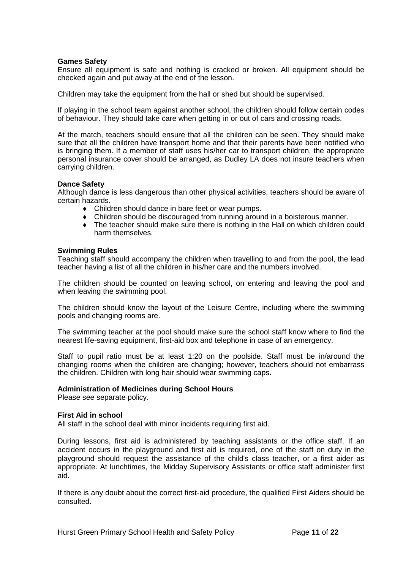#### **Games Safety**

Ensure all equipment is safe and nothing is cracked or broken. All equipment should be checked again and put away at the end of the lesson.

Children may take the equipment from the hall or shed but should be supervised.

If playing in the school team against another school, the children should follow certain codes of behaviour. They should take care when getting in or out of cars and crossing roads.

At the match, teachers should ensure that all the children can be seen. They should make sure that all the children have transport home and that their parents have been notified who is bringing them. If a member of staff uses his/her car to transport children, the appropriate personal insurance cover should be arranged, as Dudley LA does not insure teachers when carrying children.

#### **Dance Safety**

Although dance is less dangerous than other physical activities, teachers should be aware of certain hazards.

- Children should dance in bare feet or wear pumps.
- Children should be discouraged from running around in a boisterous manner.
- The teacher should make sure there is nothing in the Hall on which children could harm themselves.

#### **Swimming Rules**

Teaching staff should accompany the children when travelling to and from the pool, the lead teacher having a list of all the children in his/her care and the numbers involved.

The children should be counted on leaving school, on entering and leaving the pool and when leaving the swimming pool.

The children should know the layout of the Leisure Centre, including where the swimming pools and changing rooms are.

The swimming teacher at the pool should make sure the school staff know where to find the nearest life-saving equipment, first-aid box and telephone in case of an emergency.

Staff to pupil ratio must be at least 1:20 on the poolside. Staff must be in/around the changing rooms when the children are changing; however, teachers should not embarrass the children. Children with long hair should wear swimming caps.

#### **Administration of Medicines during School Hours**

Please see separate policy.

#### **First Aid in school**

All staff in the school deal with minor incidents requiring first aid.

During lessons, first aid is administered by teaching assistants or the office staff. If an accident occurs in the playground and first aid is required, one of the staff on duty in the playground should request the assistance of the child's class teacher, or a first aider as appropriate. At lunchtimes, the Midday Supervisory Assistants or office staff administer first aid.

If there is any doubt about the correct first-aid procedure, the qualified First Aiders should be consulted.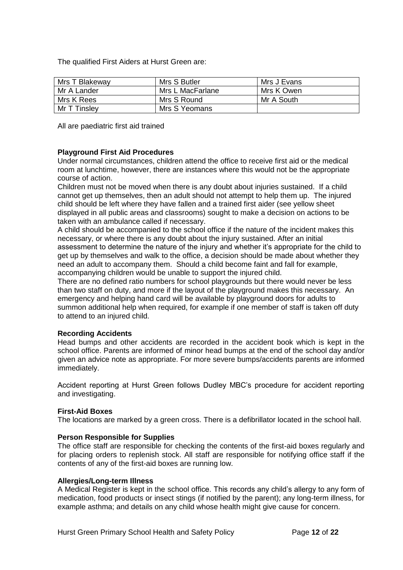The qualified First Aiders at Hurst Green are:

| Mrs T Blakeway | Mrs S Butler     | Mrs J Evans |
|----------------|------------------|-------------|
| Mr A Lander    | Mrs L MacFarlane | Mrs K Owen  |
| Mrs K Rees     | Mrs S Round      | Mr A South  |
| Mr T Tinslev   | Mrs S Yeomans    |             |

All are paediatric first aid trained

# **Playground First Aid Procedures**

Under normal circumstances, children attend the office to receive first aid or the medical room at lunchtime, however, there are instances where this would not be the appropriate course of action.

Children must not be moved when there is any doubt about injuries sustained. If a child cannot get up themselves, then an adult should not attempt to help them up. The injured child should be left where they have fallen and a trained first aider (see yellow sheet displayed in all public areas and classrooms) sought to make a decision on actions to be taken with an ambulance called if necessary.

A child should be accompanied to the school office if the nature of the incident makes this necessary, or where there is any doubt about the injury sustained. After an initial assessment to determine the nature of the injury and whether it's appropriate for the child to get up by themselves and walk to the office, a decision should be made about whether they need an adult to accompany them. Should a child become faint and fall for example, accompanying children would be unable to support the injured child.

There are no defined ratio numbers for school playgrounds but there would never be less than two staff on duty, and more if the layout of the playground makes this necessary. An emergency and helping hand card will be available by playground doors for adults to summon additional help when required, for example if one member of staff is taken off duty to attend to an injured child.

#### **Recording Accidents**

Head bumps and other accidents are recorded in the accident book which is kept in the school office. Parents are informed of minor head bumps at the end of the school day and/or given an advice note as appropriate. For more severe bumps/accidents parents are informed immediately.

Accident reporting at Hurst Green follows Dudley MBC's procedure for accident reporting and investigating.

#### **First-Aid Boxes**

The locations are marked by a green cross. There is a defibrillator located in the school hall.

#### **Person Responsible for Supplies**

The office staff are responsible for checking the contents of the first-aid boxes regularly and for placing orders to replenish stock. All staff are responsible for notifying office staff if the contents of any of the first-aid boxes are running low.

#### **Allergies/Long-term Illness**

A Medical Register is kept in the school office. This records any child's allergy to any form of medication, food products or insect stings (if notified by the parent); any long-term illness, for example asthma; and details on any child whose health might give cause for concern.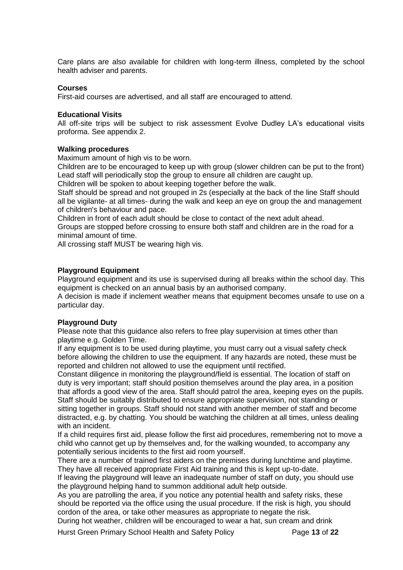Care plans are also available for children with long-term illness, completed by the school health adviser and parents.

# **Courses**

First-aid courses are advertised, and all staff are encouraged to attend.

# **Educational Visits**

All off-site trips will be subject to risk assessment Evolve Dudley LA's educational visits proforma. See appendix 2.

# **Walking procedures**

Maximum amount of high vis to be worn.

Children are to be encouraged to keep up with group (slower children can be put to the front) Lead staff will periodically stop the group to ensure all children are caught up.

Children will be spoken to about keeping together before the walk.

Staff should be spread and not grouped in 2s (especially at the back of the line Staff should all be vigilante- at all times- during the walk and keep an eye on group the and management of children's behaviour and pace.

Children in front of each adult should be close to contact of the next adult ahead.

Groups are stopped before crossing to ensure both staff and children are in the road for a minimal amount of time.

All crossing staff MUST be wearing high vis.

# **Playground Equipment**

Playground equipment and its use is supervised during all breaks within the school day. This equipment is checked on an annual basis by an authorised company.

A decision is made if inclement weather means that equipment becomes unsafe to use on a particular day.

# **Playground Duty**

Please note that this guidance also refers to free play supervision at times other than playtime e.g. Golden Time.

If any equipment is to be used during playtime, you must carry out a visual safety check before allowing the children to use the equipment. If any hazards are noted, these must be reported and children not allowed to use the equipment until rectified.

Constant diligence in monitoring the playground/field is essential. The location of staff on duty is very important; staff should position themselves around the play area, in a position that affords a good view of the area. Staff should patrol the area, keeping eyes on the pupils. Staff should be suitably distributed to ensure appropriate supervision, not standing or sitting together in groups. Staff should not stand with another member of staff and become distracted, e.g. by chatting. You should be watching the children at all times, unless dealing with an incident.

If a child requires first aid, please follow the first aid procedures, remembering not to move a child who cannot get up by themselves and, for the walking wounded, to accompany any potentially serious incidents to the first aid room yourself.

There are a number of trained first aiders on the premises during lunchtime and playtime. They have all received appropriate First Aid training and this is kept up-to-date.

If leaving the playground will leave an inadequate number of staff on duty, you should use the playground helping hand to summon additional adult help outside.

As you are patrolling the area, if you notice any potential health and safety risks, these should be reported via the office using the usual procedure. If the risk is high, you should cordon of the area, or take other measures as appropriate to negate the risk.

During hot weather, children will be encouraged to wear a hat, sun cream and drink

Hurst Green Primary School Health and Safety Policy Page **13** of **22**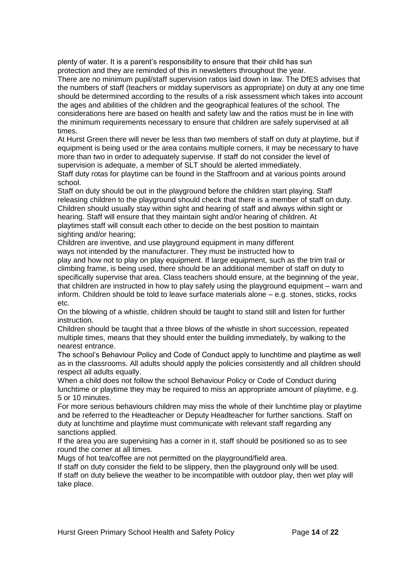plenty of water. It is a parent's responsibility to ensure that their child has sun protection and they are reminded of this in newsletters throughout the year.

There are no minimum pupil/staff supervision ratios laid down in law. The DfES advises that the numbers of staff (teachers or midday supervisors as appropriate) on duty at any one time should be determined according to the results of a risk assessment which takes into account the ages and abilities of the children and the geographical features of the school. The considerations here are based on health and safety law and the ratios must be in line with the minimum requirements necessary to ensure that children are safely supervised at all times.

At Hurst Green there will never be less than two members of staff on duty at playtime, but if equipment is being used or the area contains multiple corners, it may be necessary to have more than two in order to adequately supervise. If staff do not consider the level of supervision is adequate, a member of SLT should be alerted immediately. Staff duty rotas for playtime can be found in the Staffroom and at various points around school.

Staff on duty should be out in the playground before the children start playing. Staff releasing children to the playground should check that there is a member of staff on duty. Children should usually stay within sight and hearing of staff and always within sight or hearing. Staff will ensure that they maintain sight and/or hearing of children. At playtimes staff will consult each other to decide on the best position to maintain sighting and/or hearing;

Children are inventive, and use playground equipment in many different ways not intended by the manufacturer. They must be instructed how to play and how not to play on play equipment. If large equipment, such as the trim trail or climbing frame, is being used, there should be an additional member of staff on duty to specifically supervise that area. Class teachers should ensure, at the beginning of the year, that children are instructed in how to play safely using the playground equipment – warn and inform. Children should be told to leave surface materials alone – e.g. stones, sticks, rocks etc.

On the blowing of a whistle, children should be taught to stand still and listen for further instruction.

Children should be taught that a three blows of the whistle in short succession, repeated multiple times, means that they should enter the building immediately, by walking to the nearest entrance.

The school's Behaviour Policy and Code of Conduct apply to lunchtime and playtime as well as in the classrooms. All adults should apply the policies consistently and all children should respect all adults equally.

When a child does not follow the school Behaviour Policy or Code of Conduct during lunchtime or playtime they may be required to miss an appropriate amount of playtime, e.g. 5 or 10 minutes.

For more serious behaviours children may miss the whole of their lunchtime play or playtime and be referred to the Headteacher or Deputy Headteacher for further sanctions. Staff on duty at lunchtime and playtime must communicate with relevant staff regarding any sanctions applied.

If the area you are supervising has a corner in it, staff should be positioned so as to see round the corner at all times.

Mugs of hot tea/coffee are not permitted on the playground/field area.

If staff on duty consider the field to be slippery, then the playground only will be used. If staff on duty believe the weather to be incompatible with outdoor play, then wet play will take place.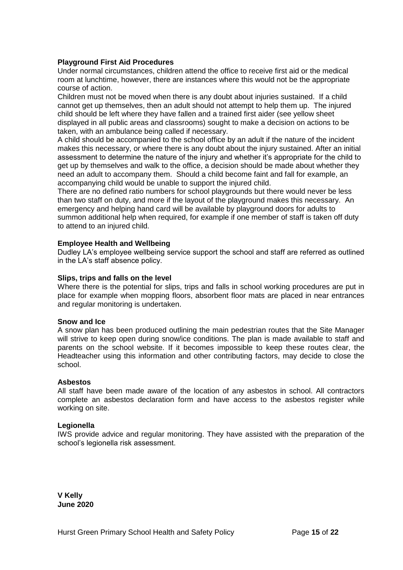# **Playground First Aid Procedures**

Under normal circumstances, children attend the office to receive first aid or the medical room at lunchtime, however, there are instances where this would not be the appropriate course of action.

Children must not be moved when there is any doubt about injuries sustained. If a child cannot get up themselves, then an adult should not attempt to help them up. The injured child should be left where they have fallen and a trained first aider (see yellow sheet displayed in all public areas and classrooms) sought to make a decision on actions to be taken, with an ambulance being called if necessary.

A child should be accompanied to the school office by an adult if the nature of the incident makes this necessary, or where there is any doubt about the injury sustained. After an initial assessment to determine the nature of the injury and whether it's appropriate for the child to get up by themselves and walk to the office, a decision should be made about whether they need an adult to accompany them. Should a child become faint and fall for example, an accompanying child would be unable to support the injured child.

There are no defined ratio numbers for school playgrounds but there would never be less than two staff on duty, and more if the layout of the playground makes this necessary. An emergency and helping hand card will be available by playground doors for adults to summon additional help when required, for example if one member of staff is taken off duty to attend to an injured child.

# **Employee Health and Wellbeing**

Dudley LA's employee wellbeing service support the school and staff are referred as outlined in the LA's staff absence policy.

#### **Slips, trips and falls on the level**

Where there is the potential for slips, trips and falls in school working procedures are put in place for example when mopping floors, absorbent floor mats are placed in near entrances and regular monitoring is undertaken.

#### **Snow and Ice**

A snow plan has been produced outlining the main pedestrian routes that the Site Manager will strive to keep open during snow/ice conditions. The plan is made available to staff and parents on the school website. If it becomes impossible to keep these routes clear, the Headteacher using this information and other contributing factors, may decide to close the school.

#### **Asbestos**

All staff have been made aware of the location of any asbestos in school. All contractors complete an asbestos declaration form and have access to the asbestos register while working on site.

#### **Legionella**

IWS provide advice and regular monitoring. They have assisted with the preparation of the school's legionella risk assessment.

**V Kelly June 2020**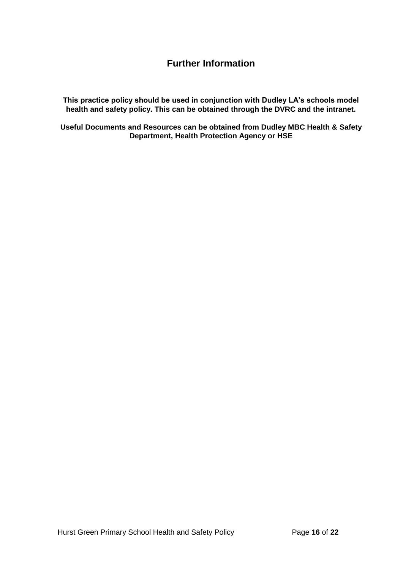# **Further Information**

**This practice policy should be used in conjunction with Dudley LA's schools model health and safety policy. This can be obtained through the DVRC and the intranet.**

**Useful Documents and Resources can be obtained from Dudley MBC Health & Safety Department, Health Protection Agency or HSE**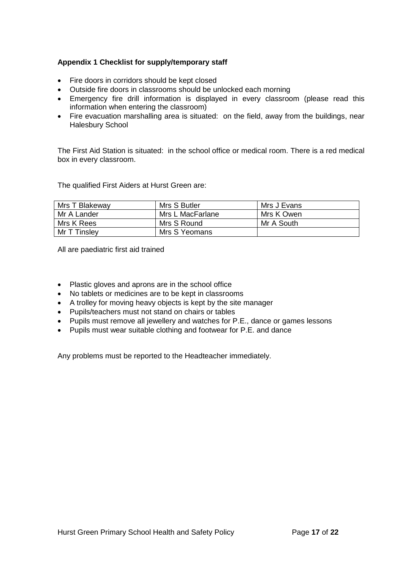# **Appendix 1 Checklist for supply/temporary staff**

- Fire doors in corridors should be kept closed
- Outside fire doors in classrooms should be unlocked each morning
- Emergency fire drill information is displayed in every classroom (please read this information when entering the classroom)
- Fire evacuation marshalling area is situated: on the field, away from the buildings, near Halesbury School

The First Aid Station is situated: in the school office or medical room. There is a red medical box in every classroom.

The qualified First Aiders at Hurst Green are:

| Mrs T Blakeway | Mrs S Butler     | Mrs J Evans |
|----------------|------------------|-------------|
| Mr A Lander    | Mrs L MacFarlane | Mrs K Owen  |
| Mrs K Rees     | Mrs S Round      | Mr A South  |
| Mr T Tinslev   | Mrs S Yeomans    |             |

All are paediatric first aid trained

- Plastic gloves and aprons are in the school office
- No tablets or medicines are to be kept in classrooms
- A trolley for moving heavy objects is kept by the site manager
- Pupils/teachers must not stand on chairs or tables
- Pupils must remove all jewellery and watches for P.E., dance or games lessons
- Pupils must wear suitable clothing and footwear for P.E. and dance

Any problems must be reported to the Headteacher immediately.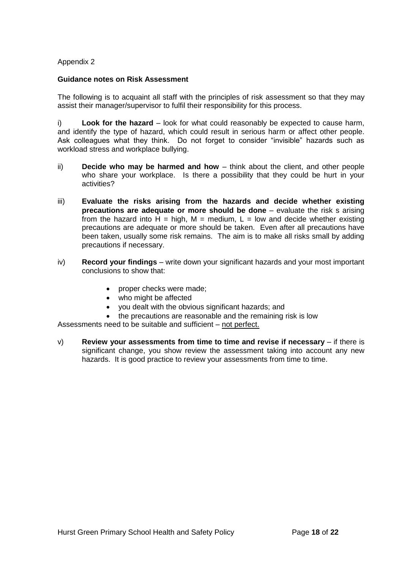# Appendix 2

# **Guidance notes on Risk Assessment**

The following is to acquaint all staff with the principles of risk assessment so that they may assist their manager/supervisor to fulfil their responsibility for this process.

i) **Look for the hazard** – look for what could reasonably be expected to cause harm, and identify the type of hazard, which could result in serious harm or affect other people. Ask colleagues what they think. Do not forget to consider "invisible" hazards such as workload stress and workplace bullying.

- ii) **Decide who may be harmed and how**  think about the client, and other people who share your workplace. Is there a possibility that they could be hurt in your activities?
- iii) **Evaluate the risks arising from the hazards and decide whether existing precautions are adequate or more should be done** – evaluate the risk s arising from the hazard into  $H = high$ ,  $M = medium$ ,  $L = low$  and decide whether existing precautions are adequate or more should be taken. Even after all precautions have been taken, usually some risk remains. The aim is to make all risks small by adding precautions if necessary.
- iv) **Record your findings**  write down your significant hazards and your most important conclusions to show that:
	- proper checks were made;
	- who might be affected
	- you dealt with the obvious significant hazards; and
	- the precautions are reasonable and the remaining risk is low

Assessments need to be suitable and sufficient – not perfect.

v) **Review your assessments from time to time and revise if necessary** – if there is significant change, you show review the assessment taking into account any new hazards. It is good practice to review your assessments from time to time.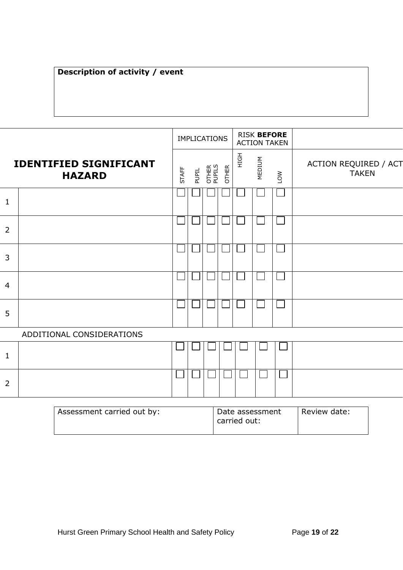# **Description of activity / event**

|                                                |                           |       | <b>IMPLICATIONS</b> |                        |              |      | <b>RISK BEFORE</b><br><b>ACTION TAKEN</b> |     |                                       |
|------------------------------------------------|---------------------------|-------|---------------------|------------------------|--------------|------|-------------------------------------------|-----|---------------------------------------|
| <b>IDENTIFIED SIGNIFICANT</b><br><b>HAZARD</b> |                           | STAFF | PUPIL               | <b>OTHER</b><br>PUPILS | <b>OTHER</b> | HIGH | MEDIUM                                    | LOW | ACTION REQUIRED / ACT<br><b>TAKEN</b> |
| $\mathbf{1}$                                   |                           |       |                     |                        |              |      |                                           |     |                                       |
| $\overline{2}$                                 |                           |       |                     |                        |              |      |                                           |     |                                       |
| $\overline{3}$                                 |                           |       |                     |                        |              |      |                                           |     |                                       |
| $\overline{4}$                                 |                           |       |                     |                        |              |      |                                           |     |                                       |
| 5                                              |                           |       |                     |                        |              |      |                                           |     |                                       |
|                                                | ADDITIONAL CONSIDERATIONS |       |                     |                        |              |      |                                           |     |                                       |
| $\mathbf{1}$                                   |                           |       |                     |                        |              |      |                                           |     |                                       |
| $\overline{2}$                                 |                           |       |                     |                        |              |      |                                           |     |                                       |
|                                                |                           |       |                     |                        |              |      |                                           |     |                                       |

| Assessment carried out by: | Date assessment<br>carried out: | Review date: |
|----------------------------|---------------------------------|--------------|
|----------------------------|---------------------------------|--------------|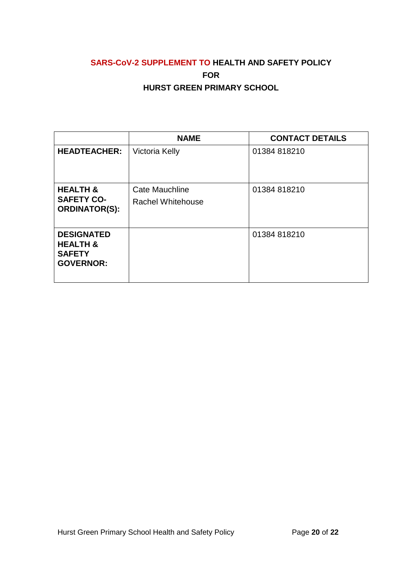# **SARS-CoV-2 SUPPLEMENT TO HEALTH AND SAFETY POLICY FOR HURST GREEN PRIMARY SCHOOL**

|                                                                               | <b>NAME</b>                                | <b>CONTACT DETAILS</b> |
|-------------------------------------------------------------------------------|--------------------------------------------|------------------------|
| <b>HEADTEACHER:</b>                                                           | <b>Victoria Kelly</b>                      | 01384 818210           |
| <b>HEALTH &amp;</b><br><b>SAFETY CO-</b><br><b>ORDINATOR(S):</b>              | Cate Mauchline<br><b>Rachel Whitehouse</b> | 01384 818210           |
| <b>DESIGNATED</b><br><b>HEALTH &amp;</b><br><b>SAFETY</b><br><b>GOVERNOR:</b> |                                            | 01384 818210           |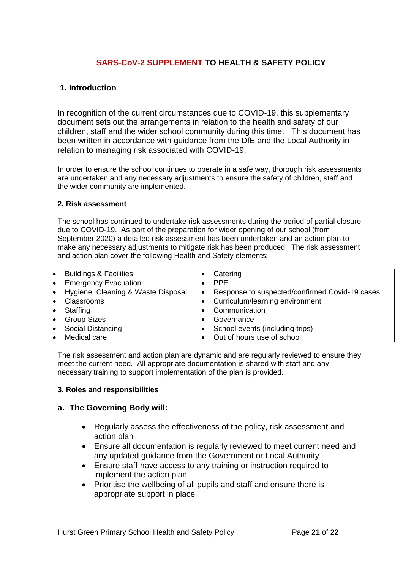# **SARS-CoV-2 SUPPLEMENT TO HEALTH & SAFETY POLICY**

# **1. Introduction**

In recognition of the current circumstances due to COVID-19, this supplementary document sets out the arrangements in relation to the health and safety of our children, staff and the wider school community during this time. This document has been written in accordance with guidance from the DfE and the Local Authority in relation to managing risk associated with COVID-19.

In order to ensure the school continues to operate in a safe way, thorough risk assessments are undertaken and any necessary adjustments to ensure the safety of children, staff and the wider community are implemented.

# **2. Risk assessment**

The school has continued to undertake risk assessments during the period of partial closure due to COVID-19. As part of the preparation for wider opening of our school (from September 2020) a detailed risk assessment has been undertaken and an action plan to make any necessary adjustments to mitigate risk has been produced. The risk assessment and action plan cover the following Health and Safety elements:

| $\bullet$ | <b>Buildings &amp; Facilities</b>  |           | Catering                                       |
|-----------|------------------------------------|-----------|------------------------------------------------|
| $\bullet$ | <b>Emergency Evacuation</b>        |           | <b>PPF</b>                                     |
| $\bullet$ | Hygiene, Cleaning & Waste Disposal | $\bullet$ | Response to suspected/confirmed Covid-19 cases |
| $\bullet$ | Classrooms                         |           | Curriculum/learning environment                |
| $\bullet$ | Staffing                           |           | Communication                                  |
| $\bullet$ | <b>Group Sizes</b>                 |           | Governance                                     |
| $\bullet$ | Social Distancing                  |           | School events (including trips)                |
|           | Medical care                       |           | Out of hours use of school                     |

The risk assessment and action plan are dynamic and are regularly reviewed to ensure they meet the current need. All appropriate documentation is shared with staff and any necessary training to support implementation of the plan is provided.

# **3. Roles and responsibilities**

# **a. The Governing Body will:**

- Regularly assess the effectiveness of the policy, risk assessment and action plan
- Ensure all documentation is regularly reviewed to meet current need and any updated guidance from the Government or Local Authority
- Ensure staff have access to any training or instruction required to implement the action plan
- Prioritise the wellbeing of all pupils and staff and ensure there is appropriate support in place